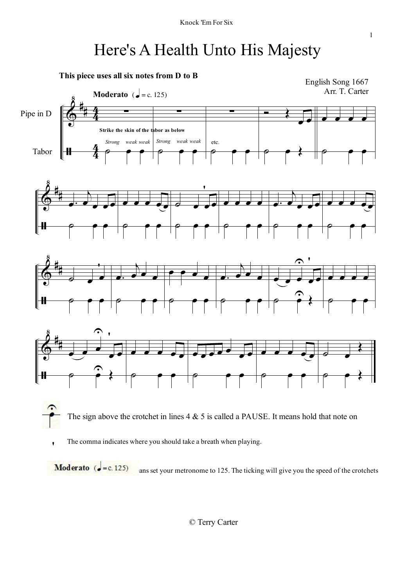# Here's A Health Unto His Majesty



Moderato  $\int$  = c. 125) ans set your metronome to 125. The ticking will give you the speed of the crotchets

© Terry Carter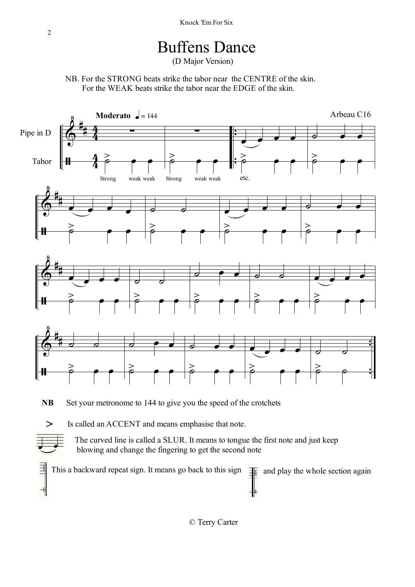## Buffens Dance

(D Major Version)

NB. For the STRONG beats strike the tabor near the CENTRE of the skin. For the WEAK beats strike the tabor near the EDGE of the skin.



blowing and change the fingering to get the second note

킠 This a backward repeat sign. It means go back to this sign  $\frac{1}{\pm}$  and play the whole section again

© Terry Carter

ᅦ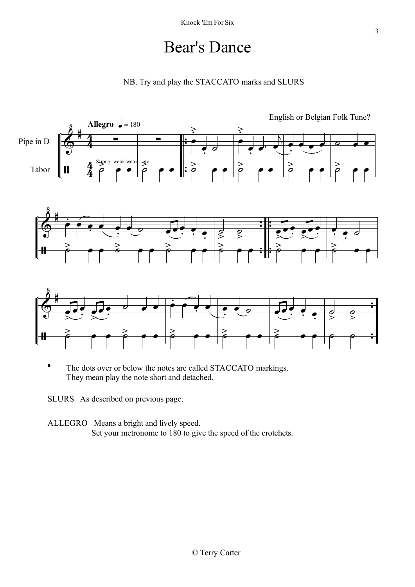#### Bear's Dance





**.** The dots over or below the notes are called STACCATO markings. They mean play the note short and detached.

SLURS As described on previous page.

ALLEGRO Means a bright and lively speed. Set your metronome to 180 to give the speed of the crotchets.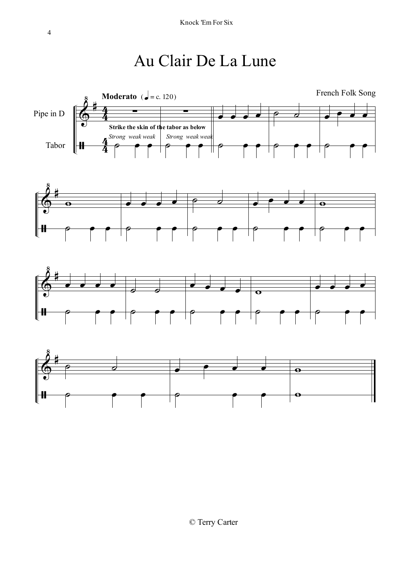# Au Clair De La Lune







4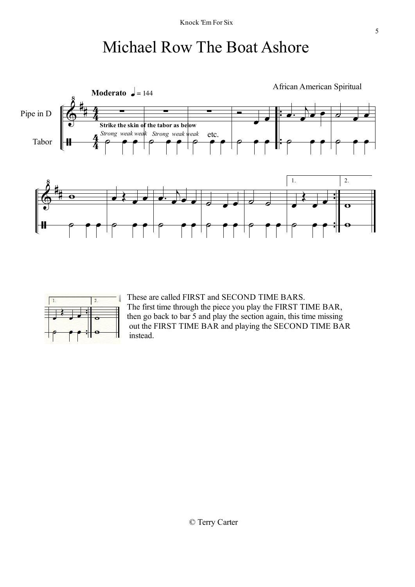## Michael Row The Boat Ashore





These are called FIRST and SECOND TIME BARS. The first time through the piece you play the FIRST TIME BAR, then go back to bar 5 and play the section again, this time missing out the FIRST TIME BAR and playing the SECOND TIME BAR instead.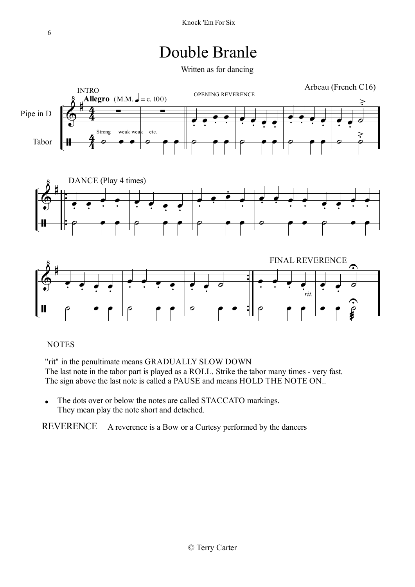#### Double Branle

Written as for dancing



#### **NOTES**

"rit" in the penultimate means GRADUALLY SLOW DOWN The last note in the tabor part is played as a ROLL. Strike the tabor many times - very fast. The sign above the last note is called a PAUSE and means HOLD THE NOTE ON..

• The dots over or below the notes are called STACCATO markings. They mean play the note short and detached.

REVERENCE A reverence is a Bow or a Curtesy performed by the dancers